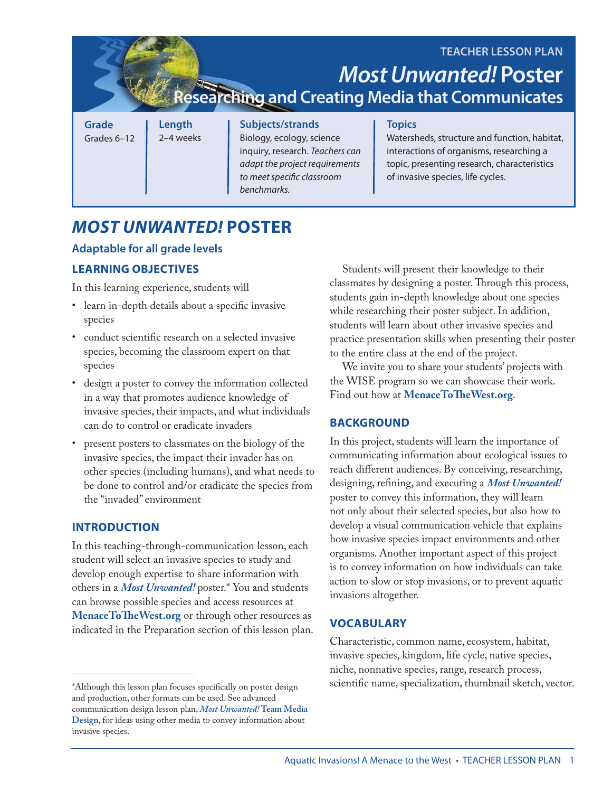**Grade** Grades 6–12 **Length** 2–4 weeks **Subjects/strands** Biology, ecology, science inquiry, research. *Teachers can adapt the project requirements to meet specific classroom benchmarks.* **Topics** Watersheds, structure and function, habitat, interactions of organisms, researching a topic, presenting research, characteristics of invasive species, life cycles. **TEACHER LESSON PLAN** *Most Unwanted!* **Poster Researching and Creating Media that Communicates**

# *MOST UNWANTED!* **POSTER**

## **Adaptable for all grade levels**

# **LEARNING OBJECTIVES**

In this learning experience, students will

- learn in-depth details about a specific invasive species
- conduct scientific research on a selected invasive species, becoming the classroom expert on that species
- design a poster to convey the information collected in a way that promotes audience knowledge of invasive species, their impacts, and what individuals can do to control or eradicate invaders
- present posters to classmates on the biology of the invasive species, the impact their invader has on other species (including humans), and what needs to be done to control and/or eradicate the species from the "invaded" environment

## **INTRODUCTION**

In this teaching-through-communication lesson, each student will select an invasive species to study and develop enough expertise to share information with others in a *Most Unwanted!* poster.\* You and students can browse possible species and access resources at **<MenaceToTheWest.org>** or through other resources as indicated in the Preparation section of this lesson plan.

Students will present their knowledge to their classmates by designing a poster. Through this process, students gain in-depth knowledge about one species while researching their poster subject. In addition, students will learn about other invasive species and practice presentation skills when presenting their poster to the entire class at the end of the project.

We invite you to share your students' projects with the WISE program so we can showcase their work. Find out how at **<MenaceToTheWest.org>**.

## **BACKGROUND**

In this project, students will learn the importance of communicating information about ecological issues to reach different audiences. By conceiving, researching, designing, refining, and executing a *Most Unwanted!* poster to convey this information, they will learn not only about their selected species, but also how to develop a visual communication vehicle that explains how invasive species impact environments and other organisms. Another important aspect of this project is to convey information on how individuals can take action to slow or stop invasions, or to prevent aquatic invasions altogether.

# **VOCABULARY**

Characteristic, common name, ecosystem, habitat, invasive species, kingdom, life cycle, native species, niche, nonnative species, range, research process, scientific name, specialization, thumbnail sketch, vector.

<sup>\*</sup>Although this lesson plan focuses specifically on poster design and production, other formats can be used. See advanced communication design lesson plan, *Most Unwanted!* **Team Media Design**, for ideas using other media to convey information about invasive species.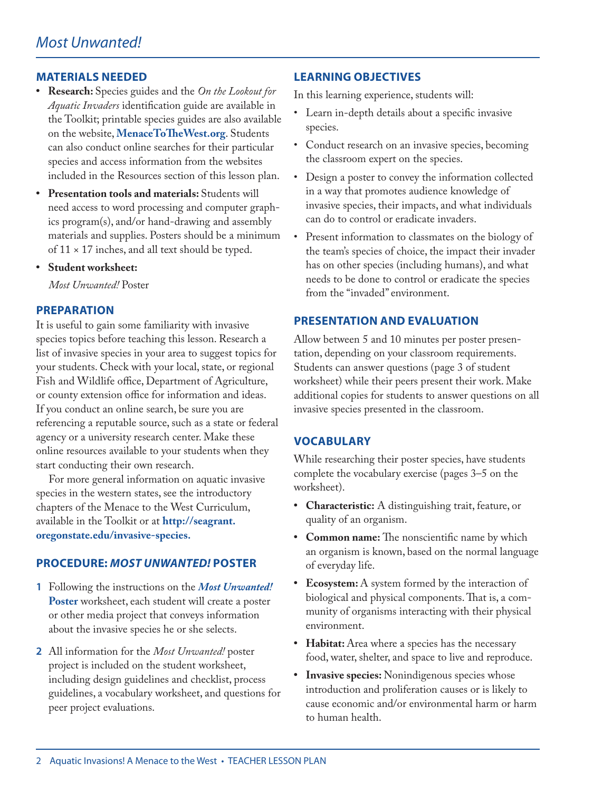## **MATERIALS NEEDED**

- **• Research:** Species guides and the *On the Lookout for Aquatic Invaders* identification guide are available in the Toolkit; printable species guides are also available on the website, **<MenaceToTheWest.org>**. Students can also conduct online searches for their particular species and access information from the websites included in the Resources section of this lesson plan.
- **• Presentation tools and materials:** Students will need access to word processing and computer graphics program(s), and/or hand-drawing and assembly materials and supplies. Posters should be a minimum of  $11 \times 17$  inches, and all text should be typed.
- **• Student worksheet:**

*Most Unwanted!* Poster

## **PREPARATION**

It is useful to gain some familiarity with invasive species topics before teaching this lesson. Research a list of invasive species in your area to suggest topics for your students. Check with your local, state, or regional Fish and Wildlife office, Department of Agriculture, or county extension office for information and ideas. If you conduct an online search, be sure you are referencing a reputable source, such as a state or federal agency or a university research center. Make these online resources available to your students when they start conducting their own research.

For more general information on aquatic invasive species in the western states, see the introductory chapters of the Menace to the West Curriculum, available in the Toolkit or at **[http://seagrant.](http://seagrant.oregonstate.edu/invasive) [oregonstate.edu/invasive](http://seagrant.oregonstate.edu/invasive)-species.**

### **PROCEDURE:** *MOST UNWANTED!* **POSTER**

- **1** Following the instructions on the *Most Unwanted!* **Poster** worksheet, each student will create a poster or other media project that conveys information about the invasive species he or she selects.
- **2** All information for the *Most Unwanted!* poster project is included on the student worksheet, including design guidelines and checklist, process guidelines, a vocabulary worksheet, and questions for peer project evaluations.

## **LEARNING OBJECTIVES**

In this learning experience, students will:

- Learn in-depth details about a specific invasive species.
- Conduct research on an invasive species, becoming the classroom expert on the species.
- Design a poster to convey the information collected in a way that promotes audience knowledge of invasive species, their impacts, and what individuals can do to control or eradicate invaders.
- Present information to classmates on the biology of the team's species of choice, the impact their invader has on other species (including humans), and what needs to be done to control or eradicate the species from the "invaded" environment.

### **PRESENTATION AND EVALUATION**

Allow between 5 and 10 minutes per poster presentation, depending on your classroom requirements. Students can answer questions (page 3 of student worksheet) while their peers present their work. Make additional copies for students to answer questions on all invasive species presented in the classroom.

### **VOCABULARY**

While researching their poster species, have students complete the vocabulary exercise (pages 3–5 on the worksheet).

- **• Characteristic:** A distinguishing trait, feature, or quality of an organism.
- **• Common name:** The nonscientific name by which an organism is known, based on the normal language of everyday life.
- **• Ecosystem:** A system formed by the interaction of biological and physical components. That is, a community of organisms interacting with their physical environment.
- **• Habitat:** Area where a species has the necessary food, water, shelter, and space to live and reproduce.
- **• Invasive species:** Nonindigenous species whose introduction and proliferation causes or is likely to cause economic and/or environmental harm or harm to human health.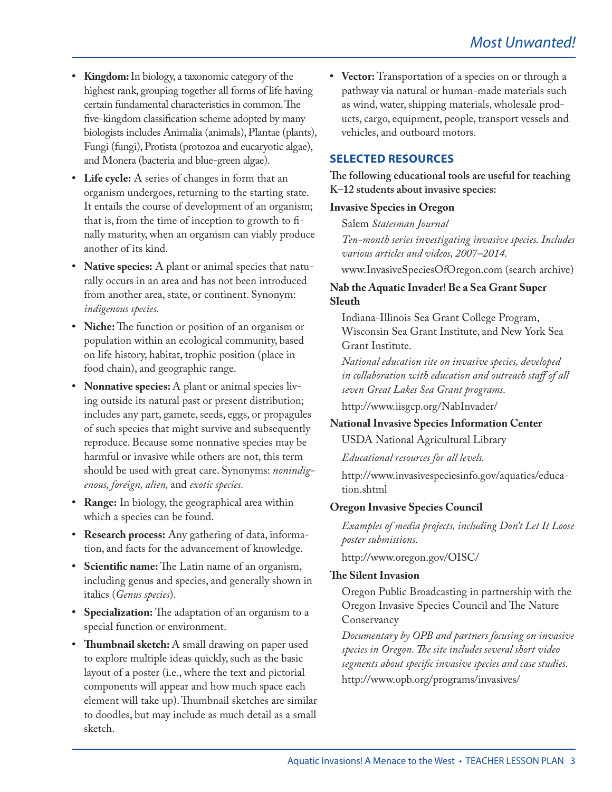- **• Kingdom:** In biology, a taxonomic category of the highest rank, grouping together all forms of life having certain fundamental characteristics in common. The five-kingdom classification scheme adopted by many biologists includes Animalia (animals), Plantae (plants), Fungi (fungi), Protista (protozoa and eucaryotic algae), and Monera (bacteria and blue-green algae).
- **• Life cycle:** A series of changes in form that an organism undergoes, returning to the starting state. It entails the course of development of an organism; that is, from the time of inception to growth to finally maturity, when an organism can viably produce another of its kind.
- **• Native species:** A plant or animal species that naturally occurs in an area and has not been introduced from another area, state, or continent. Synonym: *indigenous species.*
- **• Niche:** The function or position of an organism or population within an ecological community, based on life history, habitat, trophic position (place in food chain), and geographic range.
- **• Nonnative species:** A plant or animal species living outside its natural past or present distribution; includes any part, gamete, seeds, eggs, or propagules of such species that might survive and subsequently reproduce. Because some nonnative species may be harmful or invasive while others are not, this term should be used with great care. Synonyms: *nonindigenous, foreign, alien,* and *exotic species.*
- **• Range:** In biology, the geographical area within which a species can be found.
- **• Research process:** Any gathering of data, information, and facts for the advancement of knowledge.
- **• Scientific name:** The Latin name of an organism, including genus and species, and generally shown in italics (*Genus species*).
- **• Specialization:** The adaptation of an organism to a special function or environment.
- **• Thumbnail sketch:** A small drawing on paper used to explore multiple ideas quickly, such as the basic layout of a poster (i.e., where the text and pictorial components will appear and how much space each element will take up). Thumbnail sketches are similar to doodles, but may include as much detail as a small sketch.

**• Vector:** Transportation of a species on or through a pathway via natural or human-made materials such as wind, water, shipping materials, wholesale products, cargo, equipment, people, transport vessels and vehicles, and outboard motors.

## **SELECTED RESOURCES**

**The following educational tools are useful for teaching K–12 students about invasive species:**

#### **Invasive Species in Oregon**

Salem *Statesman Journal Ten-month series investigating invasive species. Includes various articles and videos, 2007–2014.*

<www.InvasiveSpeciesOfOregon.com>(search archive)

## **Nab the Aquatic Invader! Be a Sea Grant Super Sleuth**

Indiana-Illinois Sea Grant College Program, Wisconsin Sea Grant Institute, and New York Sea Grant Institute.

*National education site on invasive species, developed in collaboration with education and outreach staff of all seven Great Lakes Sea Grant programs.*

<http://www.iisgcp.org/NabInvader>/

## **National Invasive Species Information Center**

USDA National Agricultural Library

*Educational resources for all levels.*

[http://www.invasivespeciesinfo.gov/aquatics/educa](http://www.invasivespeciesinfo.gov/aquatics/education.shtml)[tion.shtml](http://www.invasivespeciesinfo.gov/aquatics/education.shtml)

## **Oregon Invasive Species Council**

*Examples of media projects, including Don't Let It Loose poster submissions.*

[http://www.oregon.gov/OISC/](http://www.oregon.gov/OISC)

### **The Silent Invasion**

Oregon Public Broadcasting in partnership with the Oregon Invasive Species Council and The Nature Conservancy

*Documentary by OPB and partners focusing on invasive species in Oregon. The site includes several short video segments about specific invasive species and case studies.*  [http://www.opb.org/programs/invasives/](http://www.opb.org/programs/invasives)